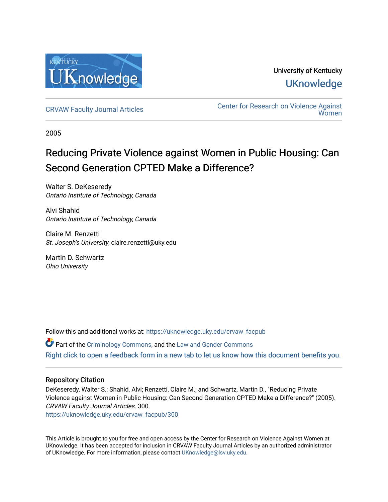

University of Kentucky **UKnowledge** 

[CRVAW Faculty Journal Articles](https://uknowledge.uky.edu/crvaw_facpub) [Center for Research on Violence Against](https://uknowledge.uky.edu/crvaw)  [Women](https://uknowledge.uky.edu/crvaw) 

2005

# Reducing Private Violence against Women in Public Housing: Can Second Generation CPTED Make a Difference?

Walter S. DeKeseredy Ontario Institute of Technology, Canada

Alvi Shahid Ontario Institute of Technology, Canada

Claire M. Renzetti St. Joseph's University, claire.renzetti@uky.edu

Martin D. Schwartz Ohio University

Follow this and additional works at: [https://uknowledge.uky.edu/crvaw\\_facpub](https://uknowledge.uky.edu/crvaw_facpub?utm_source=uknowledge.uky.edu%2Fcrvaw_facpub%2F300&utm_medium=PDF&utm_campaign=PDFCoverPages)

**P** Part of the [Criminology Commons](http://network.bepress.com/hgg/discipline/417?utm_source=uknowledge.uky.edu%2Fcrvaw_facpub%2F300&utm_medium=PDF&utm_campaign=PDFCoverPages), and the Law and Gender Commons [Right click to open a feedback form in a new tab to let us know how this document benefits you.](https://uky.az1.qualtrics.com/jfe/form/SV_9mq8fx2GnONRfz7)

### Repository Citation

DeKeseredy, Walter S.; Shahid, Alvi; Renzetti, Claire M.; and Schwartz, Martin D., "Reducing Private Violence against Women in Public Housing: Can Second Generation CPTED Make a Difference?" (2005). CRVAW Faculty Journal Articles. 300.

[https://uknowledge.uky.edu/crvaw\\_facpub/300](https://uknowledge.uky.edu/crvaw_facpub/300?utm_source=uknowledge.uky.edu%2Fcrvaw_facpub%2F300&utm_medium=PDF&utm_campaign=PDFCoverPages)

This Article is brought to you for free and open access by the Center for Research on Violence Against Women at UKnowledge. It has been accepted for inclusion in CRVAW Faculty Journal Articles by an authorized administrator of UKnowledge. For more information, please contact [UKnowledge@lsv.uky.edu.](mailto:UKnowledge@lsv.uky.edu)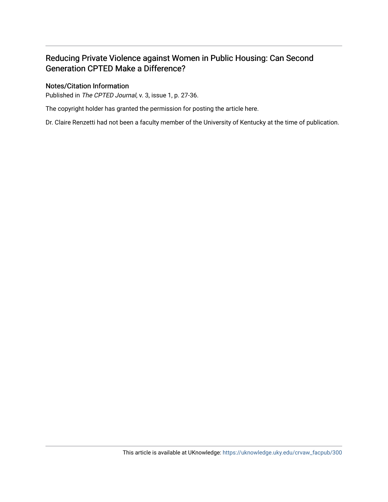## Reducing Private Violence against Women in Public Housing: Can Second Generation CPTED Make a Difference?

### Notes/Citation Information

Published in The CPTED Journal, v. 3, issue 1, p. 27-36.

The copyright holder has granted the permission for posting the article here.

Dr. Claire Renzetti had not been a faculty member of the University of Kentucky at the time of publication.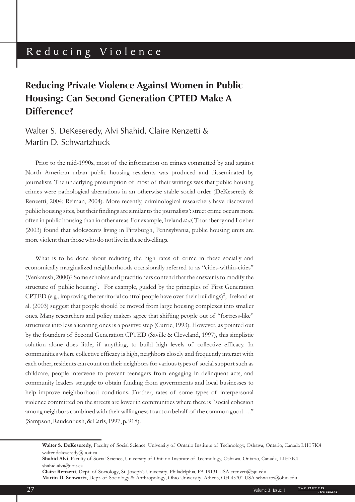# Reducing Violence

# **Reducing Private Violence Against Women in Public Housing: Can Second Generation CPTED Make A Difference?**

# Walter S. DeKeseredy, Alvi Shahid, Claire Renzetti & Martin D. Schwartzhuck

Prior to the mid-1990s, most of the information on crimes committed by and against North American urban public housing residents was produced and disseminated by journalists. The underlying presumption of most of their writings was that public housing crimes were pathological aberrations in an otherwise stable social order (DeKeseredy & Renzetti, 2004; Reiman, 2004). More recently, criminological researchers have discovered public housing sites, but their findings are similar to the journalists': street crime occurs more often in public housing than in other areas. For example, Ireland *et al*, Thornberry and Loeber (2003) found that adolescents living in Pittsburgh, Pennsylvania, public housing units are more violent than those who do not live in these dwellings.

What is to be done about reducing the high rates of crime in these socially and economically marginalized neighborhoods occasionally referred to as "cities-within-cities" (Venkatesh, 2000)? Some scholars and practitioners contend that the answer is to modify the structure of public housing<sup>1</sup>. For example, guided by the principles of First Generation CPTED (e.g., improving the territorial control people have over their buildings)<sup>2</sup>, Ireland et al. (2003) suggest that people should be moved from large housing complexes into smaller ones. Many researchers and policy makers agree that shifting people out of "fortress-like" structures into less alienating ones is a positive step (Currie, 1993). However, as pointed out by the founders of Second Generation CPTED (Saville & Cleveland, 1997), this simplistic solution alone does little, if anything, to build high levels of collective efficacy. In communities where collective efficacy is high, neighbors closely and frequently interact with each other, residents can count on their neighbors for various types of social support such as childcare, people intervene to prevent teenagers from engaging in delinquent acts, and community leaders struggle to obtain funding from governments and local businesses to help improve neighborhood conditions. Further, rates of some types of interpersonal violence committed on the streets are lower in communities where there is "social cohesion among neighbors combined with their willingness to act on behalf of the common good…." (Sampson, Raudenbush, & Earls, 1997, p. 918).

**Claire Renzetti** , Dept. of Sociology, St. Joseph's University, Philadelphia, PA 19131 USA crenzeti@sju.edu **Martin D. Schwartz** , Dept. of Sociology & Anthropology, Ohio University, Athens, OH 45701 USA schwartz@ohio.edu

**Walter S. DeKeseredy** , Faculty of Social Science, University of Ontario Institute of Technology, Oshawa, Ontario, Canada L1H 7K4 walter.dekeseredy@uoit.ca

Shahid Alvi, Faculty of Social Science, University of Ontario Institute of Technology, Oshawa, Ontario, Canada, L1H7K4 shahid.alvi@uoit.ca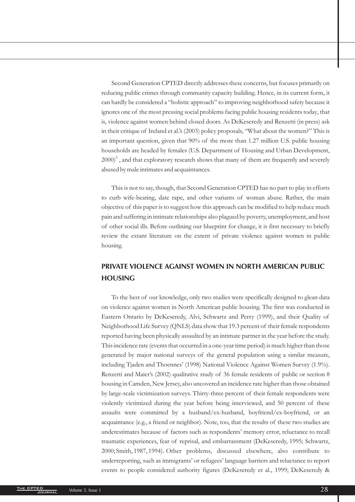Second Generation CPTED directly addresses these concerns, but focuses primarily on reducing public crimes through community capacity building. Hence, in its current form, it can hardly be considered a "holistic approach" to improving neighborhood safety because it ignores one of the most pressing social problems facing public housing residents today, that is, violence against women behind closed doors. As DeKeseredy and Renzetti (in press) ask in their critique of Ireland et al.'s (2003) policy proposals, "What about the women?" This is an important question, given that 90% of the more than 1.27 million U.S. public housing households are headed by females (U.S. Department of Housing and Urban Development,  $2000)^3$  , and that exploratory research shows that many of them are frequently and severely abused by male intimates and acquaintances.

This is not to say, though, that Second Generation CPTED has no part to play in efforts to curb wife-beating, date rape, and other variants of woman abuse. Rather, the main objective of this paper is to suggest how this approach can be modified to help reduce much pain and suffering in intimate relationships also plagued by poverty, unemployment, and host of other social ills. Before outlining our blueprint for change, it is first necessary to briefly review the extant literature on the extent of private violence against women in public housing.

## **PRIVATE VIOLENCE AGAINST WOMEN IN NORTH AMERICAN PUBLIC HOUSING**

To the best of our knowledge, only two studies were specifically designed to glean data on violence against women in North American public housing. The first was conducted in Eastern Ontario by DeKeseredy, Alvi, Schwartz and Perry (1999), and their Quality of Neighborhood Life Survey (QNLS) data show that 19.3 percent of their female respondents reported having been physically assaulted by an intimate partner in the year before the study. This incidence rate (events that occurred in a one-year time period) is much higher than those generated by major national surveys of the general population using a similar measure, including Tjaden and Thoennes' (1998) National Violence Against Women Survey (1.9%). Renzetti and Maier's (2002) qualitative study of 36 female residents of public or section 8 housing in Camden, New Jersey, also uncovered an incidence rate higher than those obtained by large-scale victimization surveys. Thirty-three percent of their female respondents were violently victimized during the year before being interviewed, and 50 percent of these assaults were committed by a husband/ex-husband, boyfriend/ex-boyfriend, or an acquaintance (e.g., a friend or neighbor). Note, too, that the results of these two studies are underestimates because of factors such as respondents' memory error, reluctance to recall traumatic experiences, fear of reprisal, and embarrassment (DeKeseredy, 1995; Schwartz, 2000; Smith, 1987, 1994). Other problems, discussed elsewhere, also contribute to underreporting, such as immigrants' or refugees' language barriers and reluctance to report events to people considered authority figures (DeKeseredy et al., 1999; DeKeseredy &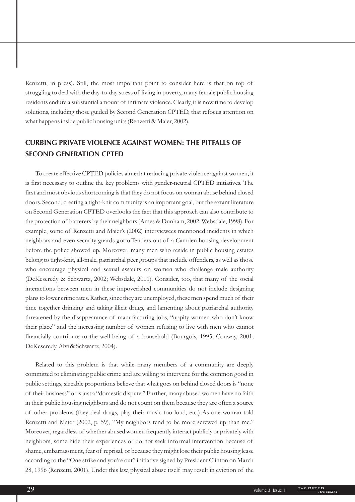Renzetti, in press). Still, the most important point to consider here is that on top of struggling to deal with the day-to-day stress of living in poverty, many female public housing residents endure a substantial amount of intimate violence. Clearly, it is now time to develop solutions, including those guided by Second Generation CPTED, that refocus attention on what happens inside public housing units (Renzetti & Maier, 2002).

## **CURBING PRIVATE VIOLENCE AGAINST WOMEN: THE PITFALLS OF SECOND GENERATION CPTED**

To create effective CPTED policies aimed at reducing private violence against women, it is first necessary to outline the key problems with gender-neutral CPTED initiatives. The first and most obvious shortcoming is that they do not focus on woman abuse behind closed doors. Second, creating a tight-knit community is an important goal, but the extant literature on Second Generation CPTED overlooks the fact that this approach can also contribute to the protection of batterers by their neighbors (Ames & Dunham, 2002; Websdale, 1998). For example, some of Renzetti and Maier's (2002) interviewees mentioned incidents in which neighbors and even security guards got offenders out of a Camden housing development before the police showed up. Moreover, many men who reside in public housing estates belong to tight-knit, all-male, patriarchal peer groups that include offenders, as well as those who encourage physical and sexual assaults on women who challenge male authority (DeKeseredy & Schwartz, 2002; Websdale, 2001). Consider, too, that many of the social interactions between men in these impoverished communities do not include designing plans to lower crime rates. Rather, since they are unemployed, these men spend much of their time together drinking and taking illicit drugs, and lamenting about patriarchal authority threatened by the disappearance of manufacturing jobs, "uppity women who don't know their place" and the increasing number of women refusing to live with men who cannot financially contribute to the well-being of a household (Bourgois, 1995; Conway, 2001; DeKeseredy, Alvi & Schwartz, 2004).

Related to this problem is that while many members of a community are deeply committed to eliminating public crime and are willing to intervene for the common good in public settings, sizeable proportions believe that what goes on behind closed doors is "none of their business" or is just a "domestic dispute." Further, many abused women have no faith in their public housing neighbors and do not count on them because they are often a source of other problems (they deal drugs, play their music too loud, etc.) As one woman told Renzetti and Maier (2002, p. 59), "My neighbors tend to be more screwed up than me." Moreover, regardless of whether abused women frequently interact publicly or privately with neighbors, some hide their experiences or do not seek informal intervention because of shame, embarrassment, fear of reprisal, or because they might lose their public housing lease according to the "One strike and you're out" initiative signed by President Clinton on March 28, 1996 (Renzetti, 2001). Under this law, physical abuse itself may result in eviction of the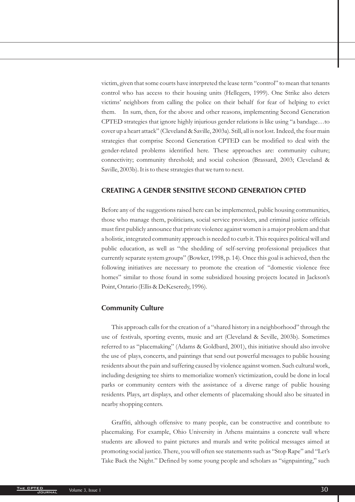victim, given that some courts have interpreted the lease term "control" to mean that tenants control who has access to their housing units (Hellegers, 1999). One Strike also deters victims' neighbors from calling the police on their behalf for fear of helping to evict them. In sum, then, for the above and other reasons, implementing Second Generation CPTED strategies that ignore highly injurious gender relations is like using "a bandage…to cover up a heart attack" (Cleveland & Saville, 2003a). Still, all is not lost. Indeed, the four main strategies that comprise Second Generation CPTED can be modified to deal with the gender-related problems identified here. These approaches are: community culture; connectivity; community threshold; and social cohesion (Brassard, 2003; Cleveland & Saville, 2003b). It is to these strategies that we turn to next.

#### **CREATING A GENDER SENSITIVE SECOND GENERATION CPTED**

Before any of the suggestions raised here can be implemented, public housing communities, those who manage them, politicians, social service providers, and criminal justice officials must first publicly announce that private violence against women is a major problem and that a holistic, integrated community approach is needed to curb it. This requires political will and public education, as well as "the shedding of self-serving professional prejudices that currently separate system groups" (Bowker, 1998, p. 14). Once this goal is achieved, then the following initiatives are necessary to promote the creation of "domestic violence free homes" similar to those found in some subsidized housing projects located in Jackson's Point, Ontario (Ellis & DeKeseredy, 1996).

#### **Community Culture**

This approach calls for the creation of a "shared history in a neighborhood" through the use of festivals, sporting events, music and art (Cleveland & Seville, 2003b). Sometimes referred to as "placemaking" (Adams & Goldbard, 2001), this initiative should also involve the use of plays, concerts, and paintings that send out powerful messages to public housing residents about the pain and suffering caused by violence against women. Such cultural work, including designing tee shirts to memorialize women's victimization, could be done in local parks or community centers with the assistance of a diverse range of public housing residents. Plays, art displays, and other elements of placemaking should also be situated in nearby shopping centers.

Graffiti, although offensive to many people, can be constructive and contribute to placemaking. For example, Ohio University in Athens maintains a concrete wall where students are allowed to paint pictures and murals and write political messages aimed at promoting social justice. There, you will often see statements such as "Stop Rape" and "Let's Take Back the Night." Defined by some young people and scholars as "signpainting," such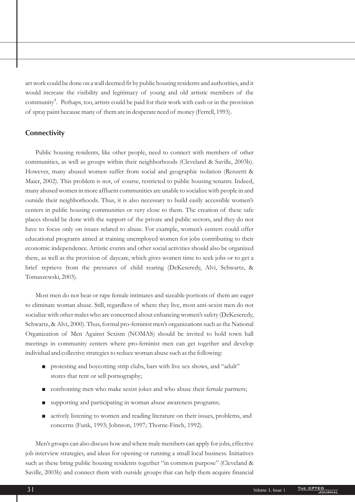art work could be done on a wall deemed fit by public housing residents and authorities, and it would increase the visibility and legitimacy of young and old artistic members of the community $\sp4$ . Perhaps, too, artists could be paid for their work with cash or in the provision of spray paint because many of them are in desperate need of money (Ferrell, 1993).

#### **Connectivity**

Public housing residents, like other people, need to connect with members of other communities, as well as groups within their neighborhoods (Cleveland & Saville, 2003b). However, many abused women suffer from social and geographic isolation (Renzetti & Maier, 2002). This problem is not, of course, restricted to public housing tenants. Indeed, many abused women in more affluent communities are unable to socialize with people in and outside their neighborhoods. Thus, it is also necessary to build easily accessible women's centers in public housing communities or very close to them. The creation of these safe places should be done with the support of the private and public sectors, and they do not have to focus only on issues related to abuse. For example, women's centers could offer educational programs aimed at training unemployed women for jobs contributing to their economic independence. Artistic events and other social activities should also be organized there, as well as the provision of daycare, which gives women time to seek jobs or to get a brief reprieve from the pressures of child rearing (DeKeseredy, Alvi, Schwartz, & Tomaszewski, 2003).

Most men do not beat or rape female intimates and sizeable portions of them are eager to eliminate woman abuse. Still, regardless of where they live, most anti-sexist men do not socialize with other males who are concerned about enhancing women's safety (DeKeseredy, Schwartz, & Alvi, 2000). Thus, formal pro-feminist men's organizations such as the National Organization of Men Against Sexism (NOMAS) should be invited to hold town hall meetings in community centers where pro-feminist men can get together and develop individual and collective strategies to reduce woman abuse such as the following:

- protesting and boycotting strip clubs, bars with live sex shows, and "adult" stores that rent or sell pornography;
- confronting men who make sexist jokes and who abuse their female partners;  $\blacksquare$
- supporting and participating in woman abuse awareness programs; Ë
- actively listening to women and reading literature on their issues, problems, and concerns (Funk, 1993; Johnson, 1997; Thorne-Finch, 1992).  $\blacksquare$

Men's groups can also discuss how and where male members can apply for jobs, effective job interview strategies, and ideas for opening or running a small local business. Initiatives such as these bring public housing residents together "in common purpose" (Cleveland & Saville, 2003b) and connect them with outside groups that can help them acquire financial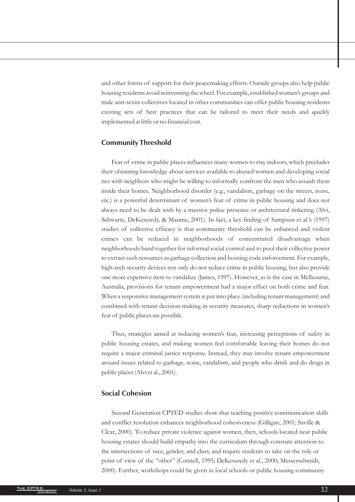and other forms of support for their peacemaking efforts. Outside groups also help public housing residents avoid reinventing the wheel. For example, established women's groups and male anti-sexist collectives located in other communities can offer public housing residents existing sets of best practices that can be tailored to meet their needs and quickly implemented at little or no financial cost.

### **Community Threshold**

Fear of crime in public places influences many women to stay indoors, which precludes their obtaining knowledge about services available to abused women and developing social ties with neighbors who might be willing to informally confront the men who assault them inside their homes. Neighborhood disorder (e.g., vandalism, garbage on the streets, noise, etc.) is a powerful determinant of women's fear of crime in public housing and does not always need to be dealt with by a massive police presence or architectural tinkering (Alvi, Schwartz, DeKeseredy, & Maume, 2001). In fact, a key finding of Sampson et al.'s (1997) studies of collective efficacy is that community threshold can be enhanced and violent crimes can be reduced in neighborhoods of concentrated disadvantage when neighborhoods band together for informal social control and to pool their collective power to extract such resources as garbage collection and housing code enforcement. For example, high-tech security devices not only do not reduce crime in public housing, but also provide one more expensive item to vandalize (James, 1997). However, as is the case in Melbourne, Australia, provisions for tenant empowerment had a major effect on both crime and fear. When a responsive management system is put into place (including tenant management) and combined with tenant decision-making in security measures, sharp reductions in women's fear of public places are possible.

Thus, strategies aimed at reducing women's fear, increasing perceptions of safety in public housing estates, and making women feel comfortable leaving their homes do not require a major criminal justice response. Instead, they may involve tenant empowerment around issues related to garbage, noise, vandalism, and people who drink and do drugs in public places (Alvi et al., 2001).

#### **Social Cohesion**

Second Generation CPTED studies show that teaching positive communication skills and conflict resolution enhances neighborhood cohesiveness (Gilligan, 2001; Saville & Clear, 2000). To reduce private violence against women, then, schools located near public housing estates should build empathy into the curriculum through constant attention to the intersections of race, gender, and class, and require students to take on the role or point of view of the "other" (Connell, 1995; DeKeseredy et al., 2000; Messerschmidt, 2000). Further, workshops could be given in local schools or public housing community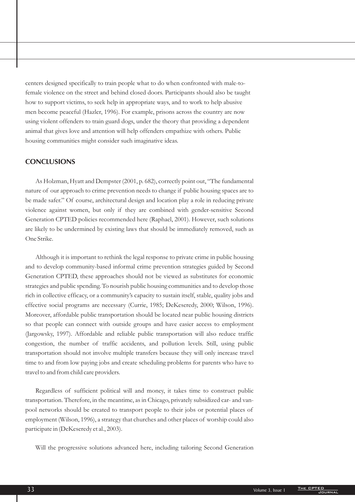centers designed specifically to train people what to do when confronted with male-tofemale violence on the street and behind closed doors. Participants should also be taught how to support victims, to seek help in appropriate ways, and to work to help abusive men become peaceful (Hazler, 1996). For example, prisons across the country are now using violent offenders to train guard dogs, under the theory that providing a dependent animal that gives love and attention will help offenders empathize with others. Public housing communities might consider such imaginative ideas.

#### **CONCLUSIONS**

As Holzman, Hyatt and Dempster (2001, p. 682), correctly point out, "The fundamental nature of our approach to crime prevention needs to change if public housing spaces are to be made safer." Of course, architectural design and location play a role in reducing private violence against women, but only if they are combined with gender-sensitive Second Generation CPTED policies recommended here (Raphael, 2001). However, such solutions are likely to be undermined by existing laws that should be immediately removed, such as One Strike.

Although it is important to rethink the legal response to private crime in public housing and to develop community-based informal crime prevention strategies guided by Second Generation CPTED, these approaches should not be viewed as substitutes for economic strategies and public spending. To nourish public housing communities and to develop those rich in collective efficacy, or a community's capacity to sustain itself, stable, quality jobs and effective social programs are necessary (Currie, 1985; DeKeseredy, 2000; Wilson, 1996). Moreover, affordable public transportation should be located near public housing districts so that people can connect with outside groups and have easier access to employment (Jargowsky, 1997). Affordable and reliable public transportation will also reduce traffic congestion, the number of traffic accidents, and pollution levels. Still, using public transportation should not involve multiple transfers because they will only increase travel time to and from low paying jobs and create scheduling problems for parents who have to travel to and from child care providers.

Regardless of sufficient political will and money, it takes time to construct public transportation. Therefore, in the meantime, as in Chicago, privately subsidized car- and vanpool networks should be created to transport people to their jobs or potential places of employment (Wilson, 1996), a strategy that churches and other places of worship could also participate in (DeKeseredy et al., 2003).

Will the progressive solutions advanced here, including tailoring Second Generation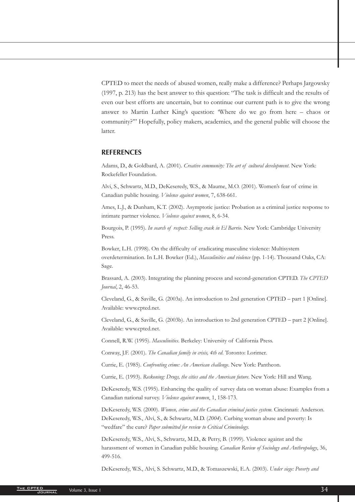CPTED to meet the needs of abused women, really make a difference? Perhaps Jargowsky (1997, p. 213) has the best answer to this question: "The task is difficult and the results of even our best efforts are uncertain, but to continue our current path is to give the wrong answer to Martin Luther King's question: 'Where do we go from here – chaos or community?'" Hopefully, policy makers, academics, and the general public will choose the latter.

#### **REFERENCES**

Adams, D., & Goldbard, A. (2001). *Creative community: The art of cultural development*. New York: Rockefeller Foundation.

Alvi, S., Schwartz, M.D., DeKeseredy, W.S., & Maume, M.O. (2001). Women's fear of crime in Canadian public housing. Violence against women, 7, 638-661.

Ames, L.J., & Dunham, K.T. (2002). Asymptotic justice: Probation as a criminal justice response to intimate partner violence. Violence against women, 8, 6-34.

Bourgois, P. (1995). *In search of respect: Selling crack in El Barrio*. New York: Cambridge University Press.

Bowker, L.H. (1998). On the difficulty of eradicating masculine violence: Multisystem overdetermination. In L.H. Bowker (Ed.), *Masculinities and violence* (pp. 1-14). Thousand Oaks, CA: Sage.

Brassard, A. (2003). Integrating the planning process and second-generation CPTED. *The CPTED* , 2, 46-53. *Journal*

Cleveland, G., & Saville, G. (2003a). An introduction to 2nd generation CPTED – part 1 [Online]. Available: www.cpted.net.

Cleveland, G., & Saville, G. (2003b). An introduction to 2nd generation CPTED – part 2 [Online]. Available: www.cpted.net.

Connell, R.W. (1995). Masculinities. Berkeley: University of California Press.

Conway, J.F. (2001). The Canadian family in crisis, 4th ed. Toronto: Lorimer.

Currie, E. (1985). Confronting crime: An American challenge. New York: Pantheon.

Currie, E. (1993). Reckoning: Drugs, the cities and the American future. New York: Hill and Wang.

DeKeseredy, W.S. (1995). Enhancing the quality of survey data on woman abuse: Examples from a Canadian national survey. Violence against women, 1, 158-173.

DeKeseredy, W.S. (2000). *Women, crime and the Canadian criminal justice system*. Cincinnati: Anderson. DeKeseredy, W.S., Alvi, S., & Schwartz, M.D. (2004). Curbing woman abuse and poverty: Is "wedfare" the cure? *Paper submitted for review to Critical Criminology.*

DeKeseredy, W.S., Alvi, S., Schwartz, M.D., & Perry, B. (1999). Violence against and the harassment of women in Canadian public housing. Canadian Review of Sociology and Anthropology, 36, 499-516.

DeKeseredy, W.S., Alvi, S. Schwartz, M.D., & Tomaszewski, E.A. (2003). *Under siege: Poverty and*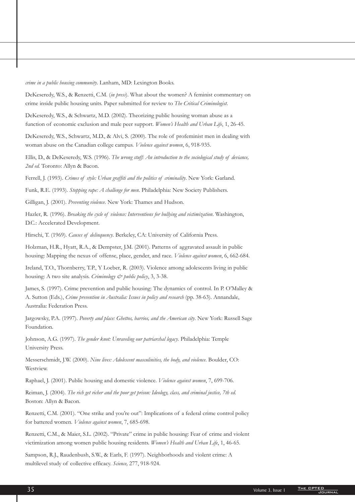*crime in a public housing community* . Lanham, MD: Lexington Books.

DeKeseredy, W.S., & Renzetti, C.M. (in press). What about the women? A feminist commentary on crime inside public housing units. Paper submitted for review to The Critical Criminologist.

function of economic exclusion and male peer support. *Women's Health and Urban Life*, 1, 26-45. DeKeseredy, W.S., & Schwartz, M.D. (2002). Theorizing public housing woman abuse as a

woman abuse on the Canadian college campus. *Violence against women*, 6, 918-935. DeKeseredy, W.S., Schwartz, M.D., & Alvi, S. (2000). The role of profeminist men in dealing with

*The wrong stuff: An introduction to the sociological study of deviance,* Ellis, D., & DeKeseredy, W.S. (1996). *2nd ed.* Toronto: Allyn & Bacon.

Ferrell, J. (1993). Crimes of style: Urban graffiti and the politics of criminality. New York: Garland.

Funk, R.E. (1993). Stopping rape: A challenge for men. Philadelphia: New Society Publishers.

Gilligan, J. (2001). Preventing violence. New York: Thames and Hudson.

Hazler, R. (1996). *Breaking the cycle of violence: Interventions for bullying and victimization*. Washington, D.C.: Accelerated Development.

Hirschi, T. (1969). Causes of delinquency. Berkeley, CA: University of California Press.

housing: Mapping the nexus of offense, place, gender, and race. *Violence against women*, 6, 662-684. Holzman, H.R., Hyatt, R.A., & Dempster, J.M. (2001). Patterns of aggravated assault in public

housing: A two site analysis. *Criminology & public policy*, 3, 3-38. Ireland, T.O., Thornberry, T.P., Y Loeber, R. (2003). Violence among adolescents living in public

A. Sutton (Eds.), *Crime prevention in Australia: Issues in policy and research* (pp. 38-63). Annandale, James, S. (1997). Crime prevention and public housing: The dynamics of control. In P. O'Malley & Australia: Federation Press.

Jargowsky, P.A. (1997). *Poverty and place: Ghettos, barrios, and the American city*. New York: Russell Sage Foundation.

Johnson, A.G. (1997). *The gender knot: Unraveling our patriarchal legacy*. Philadelphia: Temple University Press.

Messerschmidt, J.W. (2000). *Nine lives: Adolescent masculinities, the body, and violence*. Boulder, CO: Westview.

Raphael, J. (2001). Public housing and domestic violence. *Violence against women*, 7, 699-706.

Reiman, J. (2004). The rich get richer and the poor get prison: Ideology, class, and criminal justice, 7th ed. Boston: Allyn & Bacon.

for battered women. *Violence against women*, 7, 685-698. Renzetti, C.M. (2001). "One strike and you're out": Implications of a federal crime control policy

victimization among women public housing residents. Women's Health and Urban Life, 1, 46-65. Renzetti, C.M., & Maier, S.L. (2002). "Private" crime in public housing: Fear of crime and violent

*Science,* multilevel study of collective efficacy. 277, 918-924. Sampson, R.J., Raudenbush, S.W., & Earls, F. (1997). Neighborhoods and violent crime: A